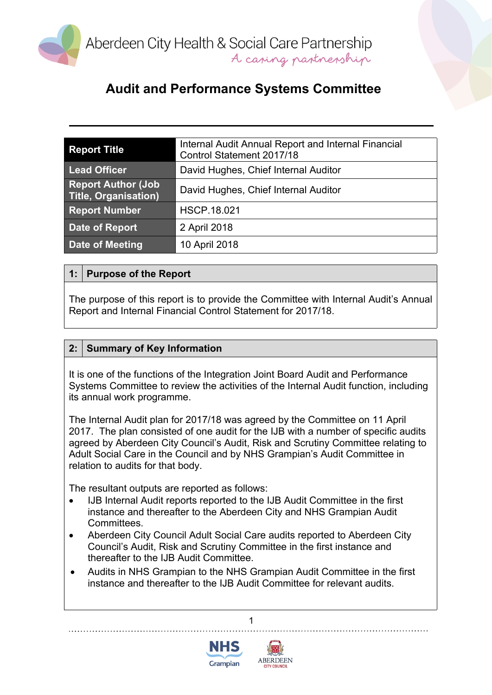

| <b>Report Title</b>                                      | Internal Audit Annual Report and Internal Financial<br>Control Statement 2017/18 |  |  |
|----------------------------------------------------------|----------------------------------------------------------------------------------|--|--|
| <b>Lead Officer</b>                                      | David Hughes, Chief Internal Auditor                                             |  |  |
| <b>Report Author (Job</b><br><b>Title, Organisation)</b> | David Hughes, Chief Internal Auditor                                             |  |  |
| <b>Report Number</b>                                     | <b>HSCP.18.021</b>                                                               |  |  |
| <b>Date of Report</b>                                    | 2 April 2018                                                                     |  |  |
| Date of Meeting                                          | 10 April 2018                                                                    |  |  |

### **1: Purpose of the Report**

The purpose of this report is to provide the Committee with Internal Audit's Annual Report and Internal Financial Control Statement for 2017/18.

### **2: Summary of Key Information**

It is one of the functions of the Integration Joint Board Audit and Performance Systems Committee to review the activities of the Internal Audit function, including its annual work programme.

The Internal Audit plan for 2017/18 was agreed by the Committee on 11 April 2017. The plan consisted of one audit for the IJB with a number of specific audits agreed by Aberdeen City Council's Audit, Risk and Scrutiny Committee relating to Adult Social Care in the Council and by NHS Grampian's Audit Committee in relation to audits for that body.

The resultant outputs are reported as follows:

- IJB Internal Audit reports reported to the IJB Audit Committee in the first instance and thereafter to the Aberdeen City and NHS Grampian Audit Committees.
- Aberdeen City Council Adult Social Care audits reported to Aberdeen City Council's Audit, Risk and Scrutiny Committee in the first instance and thereafter to the IJB Audit Committee.
- Audits in NHS Grampian to the NHS Grampian Audit Committee in the first instance and thereafter to the IJB Audit Committee for relevant audits.



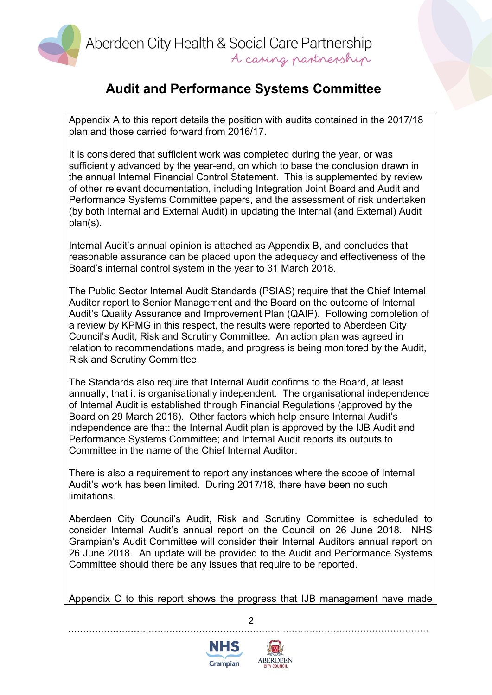

Appendix A to this report details the position with audits contained in the 2017/18 plan and those carried forward from 2016/17.

It is considered that sufficient work was completed during the year, or was sufficiently advanced by the year-end, on which to base the conclusion drawn in the annual Internal Financial Control Statement. This is supplemented by review of other relevant documentation, including Integration Joint Board and Audit and Performance Systems Committee papers, and the assessment of risk undertaken (by both Internal and External Audit) in updating the Internal (and External) Audit plan(s).

Internal Audit's annual opinion is attached as Appendix B, and concludes that reasonable assurance can be placed upon the adequacy and effectiveness of the Board's internal control system in the year to 31 March 2018.

The Public Sector Internal Audit Standards (PSIAS) require that the Chief Internal Auditor report to Senior Management and the Board on the outcome of Internal Audit's Quality Assurance and Improvement Plan (QAIP). Following completion of a review by KPMG in this respect, the results were reported to Aberdeen City Council's Audit, Risk and Scrutiny Committee. An action plan was agreed in relation to recommendations made, and progress is being monitored by the Audit, Risk and Scrutiny Committee.

The Standards also require that Internal Audit confirms to the Board, at least annually, that it is organisationally independent. The organisational independence of Internal Audit is established through Financial Regulations (approved by the Board on 29 March 2016). Other factors which help ensure Internal Audit's independence are that: the Internal Audit plan is approved by the IJB Audit and Performance Systems Committee; and Internal Audit reports its outputs to Committee in the name of the Chief Internal Auditor.

There is also a requirement to report any instances where the scope of Internal Audit's work has been limited. During 2017/18, there have been no such limitations.

Aberdeen City Council's Audit, Risk and Scrutiny Committee is scheduled to consider Internal Audit's annual report on the Council on 26 June 2018. NHS Grampian's Audit Committee will consider their Internal Auditors annual report on 26 June 2018. An update will be provided to the Audit and Performance Systems Committee should there be any issues that require to be reported.

Appendix C to this report shows the progress that IJB management have made



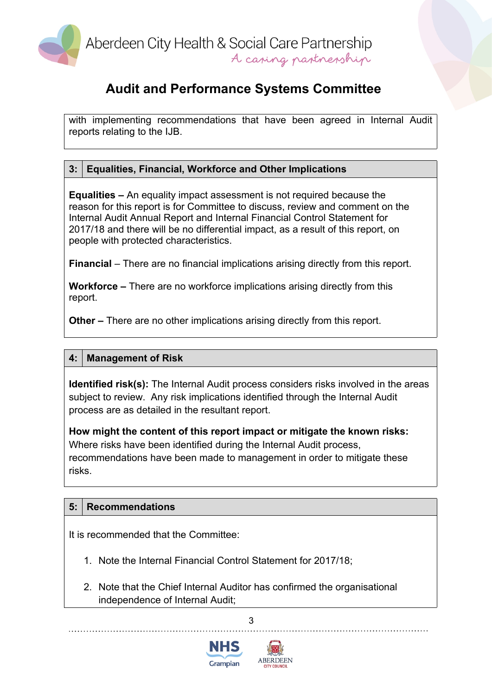

with implementing recommendations that have been agreed in Internal Audit reports relating to the IJB.

## **3: Equalities, Financial, Workforce and Other Implications**

**Equalities –** An equality impact assessment is not required because the reason for this report is for Committee to discuss, review and comment on the Internal Audit Annual Report and Internal Financial Control Statement for 2017/18 and there will be no differential impact, as a result of this report, on people with protected characteristics.

**Financial** – There are no financial implications arising directly from this report.

**Workforce –** There are no workforce implications arising directly from this report.

**Other –** There are no other implications arising directly from this report.

#### **4: Management of Risk**

**Identified risk(s):** The Internal Audit process considers risks involved in the areas subject to review. Any risk implications identified through the Internal Audit process are as detailed in the resultant report.

**How might the content of this report impact or mitigate the known risks:** Where risks have been identified during the Internal Audit process, recommendations have been made to management in order to mitigate these risks.

## **5: Recommendations**

It is recommended that the Committee:

- 1. Note the Internal Financial Control Statement for 2017/18;
- 2. Note that the Chief Internal Auditor has confirmed the organisational independence of Internal Audit;



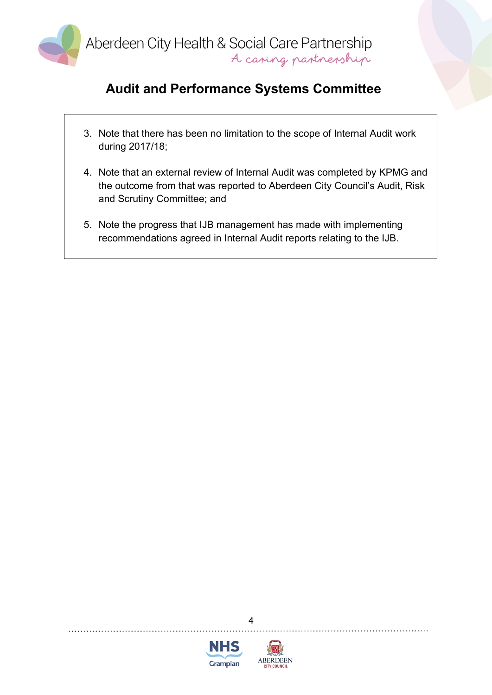

- 3. Note that there has been no limitation to the scope of Internal Audit work during 2017/18;
- 4. Note that an external review of Internal Audit was completed by KPMG and the outcome from that was reported to Aberdeen City Council's Audit, Risk and Scrutiny Committee; and
- 5. Note the progress that IJB management has made with implementing recommendations agreed in Internal Audit reports relating to the IJB.



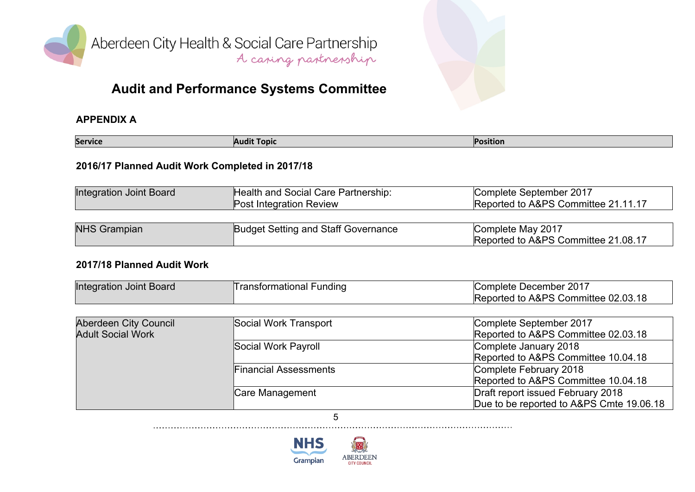

Aberdeen City Health & Social Care Partnership<br>A caning partnership

# **Audit and Performance Systems Committee**

#### **APPENDIX A**

| <b>Service</b><br><b>Position</b><br>Topic |
|--------------------------------------------|
|--------------------------------------------|

#### **2016/17 Planned Audit Work Completed in 2017/18**

| Integration Joint Board | Health and Social Care Partnership:<br><b>Post Integration Review</b> | Complete September 2017<br>Reported to A&PS Committee 21.11.17 |
|-------------------------|-----------------------------------------------------------------------|----------------------------------------------------------------|
|                         |                                                                       |                                                                |

| <b>NHS Grampian</b> | <b>Budget Setting and Staff Governance</b> | Complete May 2017                   |  |  |
|---------------------|--------------------------------------------|-------------------------------------|--|--|
|                     |                                            | Reported to A&PS Committee 21.08.17 |  |  |

### **2017/18 Planned Audit Work**

| Integration Joint Board | I ransformational Funding | Complete December 2017              |
|-------------------------|---------------------------|-------------------------------------|
|                         |                           | Reported to A&PS Committee 02.03.18 |

| Aberdeen City Council    | Social Work Transport        | Complete September 2017                  |
|--------------------------|------------------------------|------------------------------------------|
| <b>Adult Social Work</b> |                              | Reported to A&PS Committee 02.03.18      |
|                          | Social Work Payroll          | Complete January 2018                    |
|                          |                              | Reported to A&PS Committee 10.04.18      |
|                          | <b>Financial Assessments</b> | Complete February 2018                   |
|                          |                              | Reported to A&PS Committee 10.04.18      |
|                          | Care Management              | Draft report issued February 2018        |
|                          |                              | Due to be reported to A&PS Cmte 19.06.18 |

5

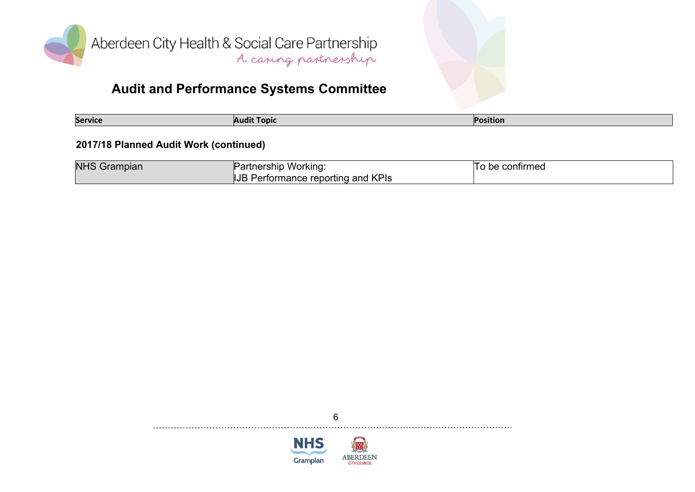

| service<br>Topic<br>Audi.<br>шин |
|----------------------------------|
|----------------------------------|

#### **2017/18 Planned Audit Work (continued)**

| <b>NHS Grampian</b> | Partnership Working:                   | To be confirmed |
|---------------------|----------------------------------------|-----------------|
|                     | Performance reporting and KPIs<br> IJB |                 |

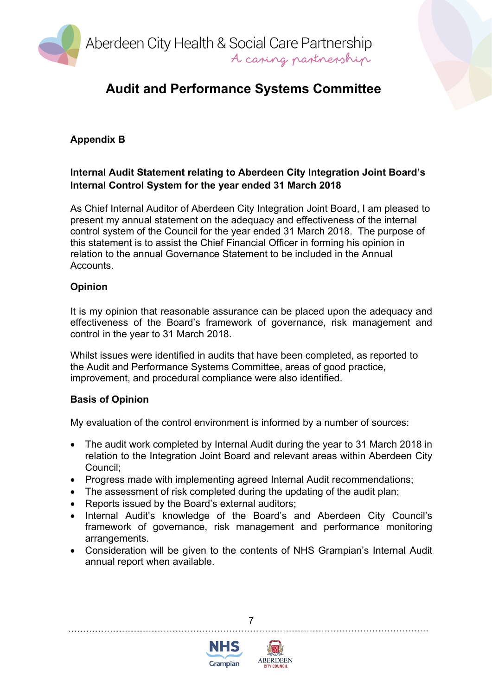

## **Appendix B**

### **Internal Audit Statement relating to Aberdeen City Integration Joint Board's Internal Control System for the year ended 31 March 2018**

As Chief Internal Auditor of Aberdeen City Integration Joint Board, I am pleased to present my annual statement on the adequacy and effectiveness of the internal control system of the Council for the year ended 31 March 2018. The purpose of this statement is to assist the Chief Financial Officer in forming his opinion in relation to the annual Governance Statement to be included in the Annual Accounts.

#### **Opinion**

It is my opinion that reasonable assurance can be placed upon the adequacy and effectiveness of the Board's framework of governance, risk management and control in the year to 31 March 2018.

Whilst issues were identified in audits that have been completed, as reported to the Audit and Performance Systems Committee, areas of good practice, improvement, and procedural compliance were also identified.

#### **Basis of Opinion**

My evaluation of the control environment is informed by a number of sources:

- The audit work completed by Internal Audit during the year to 31 March 2018 in relation to the Integration Joint Board and relevant areas within Aberdeen City Council;
- Progress made with implementing agreed Internal Audit recommendations;
- The assessment of risk completed during the updating of the audit plan;
- Reports issued by the Board's external auditors;
- Internal Audit's knowledge of the Board's and Aberdeen City Council's framework of governance, risk management and performance monitoring arrangements.
- Consideration will be given to the contents of NHS Grampian's Internal Audit annual report when available.



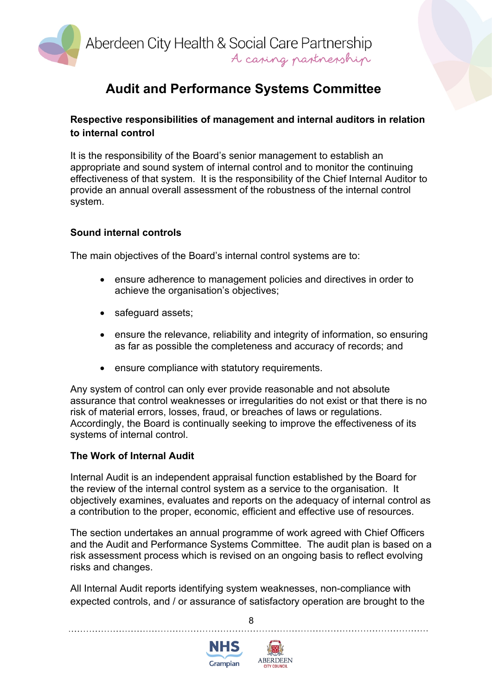

### **Respective responsibilities of management and internal auditors in relation to internal control**

It is the responsibility of the Board's senior management to establish an appropriate and sound system of internal control and to monitor the continuing effectiveness of that system. It is the responsibility of the Chief Internal Auditor to provide an annual overall assessment of the robustness of the internal control system.

#### **Sound internal controls**

The main objectives of the Board's internal control systems are to:

- ensure adherence to management policies and directives in order to achieve the organisation's objectives;
- safeguard assets;
- ensure the relevance, reliability and integrity of information, so ensuring as far as possible the completeness and accuracy of records; and
- ensure compliance with statutory requirements.

Any system of control can only ever provide reasonable and not absolute assurance that control weaknesses or irregularities do not exist or that there is no risk of material errors, losses, fraud, or breaches of laws or regulations. Accordingly, the Board is continually seeking to improve the effectiveness of its systems of internal control.

#### **The Work of Internal Audit**

Internal Audit is an independent appraisal function established by the Board for the review of the internal control system as a service to the organisation. It objectively examines, evaluates and reports on the adequacy of internal control as a contribution to the proper, economic, efficient and effective use of resources.

The section undertakes an annual programme of work agreed with Chief Officers and the Audit and Performance Systems Committee. The audit plan is based on a risk assessment process which is revised on an ongoing basis to reflect evolving risks and changes.

All Internal Audit reports identifying system weaknesses, non-compliance with expected controls, and / or assurance of satisfactory operation are brought to the



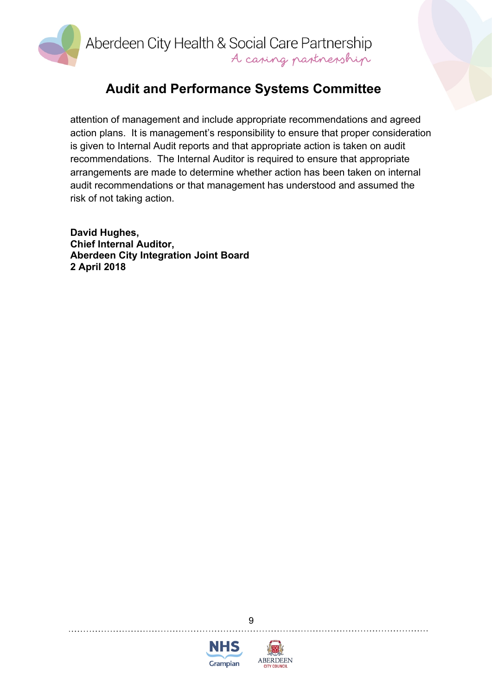

attention of management and include appropriate recommendations and agreed action plans. It is management's responsibility to ensure that proper consideration is given to Internal Audit reports and that appropriate action is taken on audit recommendations. The Internal Auditor is required to ensure that appropriate arrangements are made to determine whether action has been taken on internal audit recommendations or that management has understood and assumed the risk of not taking action.

**David Hughes, Chief Internal Auditor, Aberdeen City Integration Joint Board 2 April 2018**



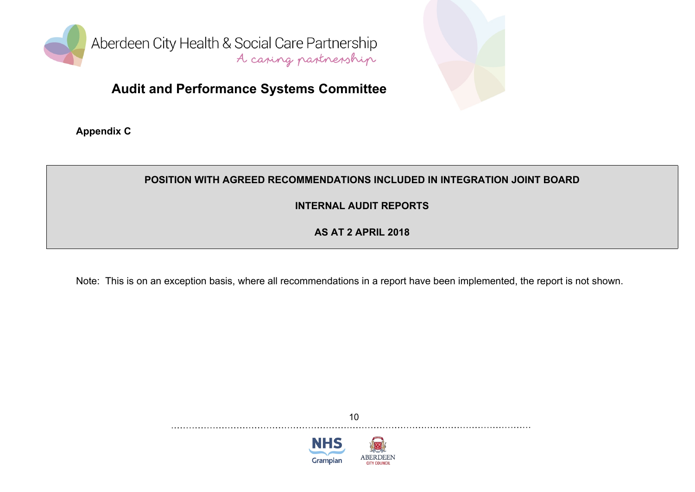

**Appendix C**

## **POSITION WITH AGREED RECOMMENDATIONS INCLUDED IN INTEGRATION JOINT BOARD**

**INTERNAL AUDIT REPORTS**

**AS AT 2 APRIL 2018**

Note: This is on an exception basis, where all recommendations in a report have been implemented, the report is not shown.



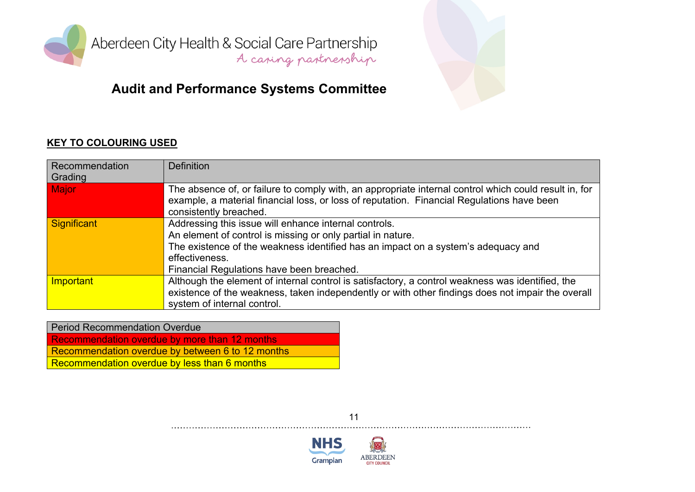

Aberdeen City Health & Social Care Partnership<br>A caring partnership

# **Audit and Performance Systems Committee**

#### **KEY TO COLOURING USED**

| Recommendation<br>Grading | <b>Definition</b>                                                                                                                                                                                                                                                        |
|---------------------------|--------------------------------------------------------------------------------------------------------------------------------------------------------------------------------------------------------------------------------------------------------------------------|
| <b>Major</b>              | The absence of, or failure to comply with, an appropriate internal control which could result in, for<br>example, a material financial loss, or loss of reputation. Financial Regulations have been<br>consistently breached.                                            |
| <b>Significant</b>        | Addressing this issue will enhance internal controls.<br>An element of control is missing or only partial in nature.<br>The existence of the weakness identified has an impact on a system's adequacy and<br>effectiveness.<br>Financial Regulations have been breached. |
| <b>Important</b>          | Although the element of internal control is satisfactory, a control weakness was identified, the<br>existence of the weakness, taken independently or with other findings does not impair the overall<br>system of internal control.                                     |

| <b>Period Recommendation Overdue</b>             |
|--------------------------------------------------|
| Recommendation overdue by more than 12 months    |
| Recommendation overdue by between 6 to 12 months |
| Recommendation overdue by less than 6 months     |
|                                                  |



**NHS** Grampian